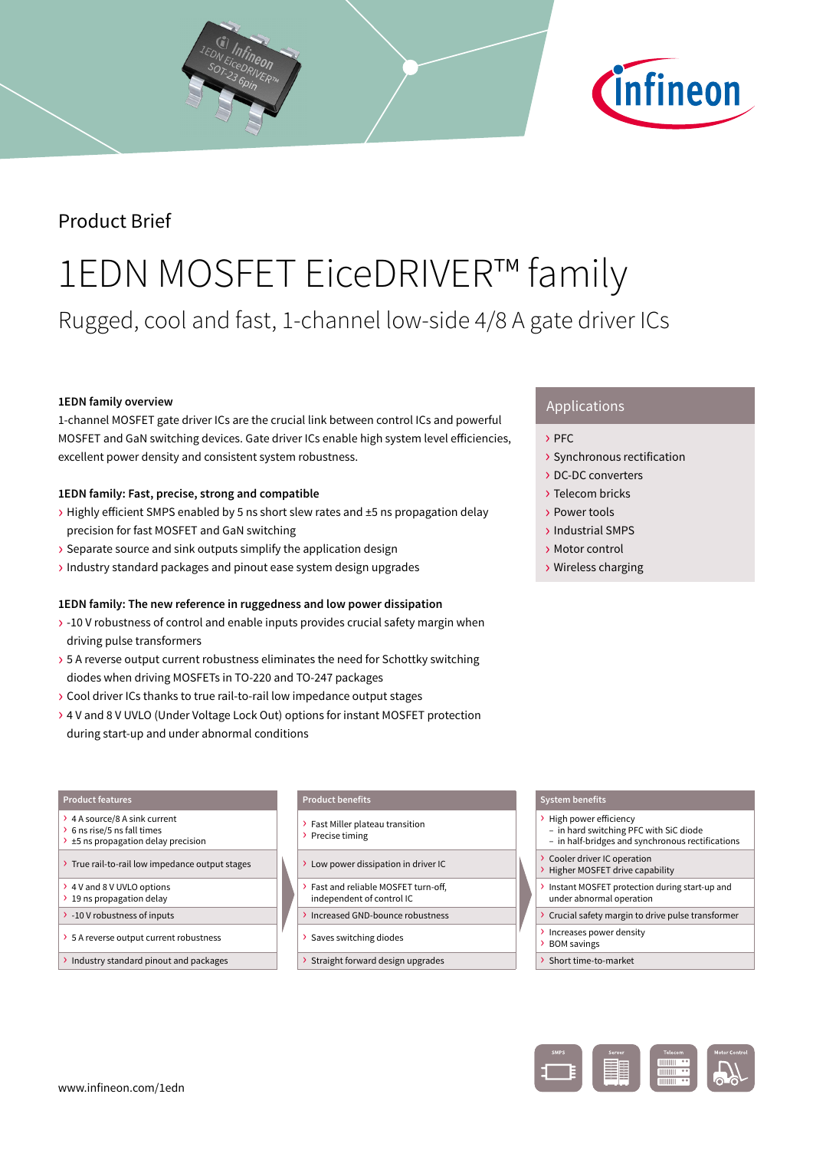

# Product Brief

# 1EDN MOSFET EiceDRIVER™ family Rugged, cool and fast, 1-channel low-side 4/8 A gate driver ICs

# **1EDN family overview**

1-channel MOSFET gate driver ICs are the crucial link between control ICs and powerful MOSFET and GaN switching devices. Gate driver ICs enable high system level efficiencies, excellent power density and consistent system robustness.

# **1EDN family: Fast, precise, strong and compatible**

- › Highly efficient SMPS enabled by 5 ns short slew rates and ±5 ns propagation delay precision for fast MOSFET and GaN switching
- › Separate source and sink outputs simplify the application design
- › Industry standard packages and pinout ease system design upgrades

## **1EDN family: The new reference in ruggedness and low power dissipation**

- › -10 V robustness of control and enable inputs provides crucial safety margin when driving pulse transformers
- > 5 A reverse output current robustness eliminates the need for Schottky switching diodes when driving MOSFETs in TO-220 and TO-247 packages
- › Cool driver ICs thanks to true rail-to-rail low impedance output stages
- › 4 V and 8 V UVLO (Under Voltage Lock Out) options for instant MOSFET protection during start-up and under abnormal conditions

# Applications

- › PFC
- › Synchronous rectification
- › DC-DC converters
- › Telecom bricks
- › Power tools
- › Industrial SMPS
- › Motor control
- › Wireless charging

#### **Product features**

- › 4 A source/8 A sink current
- › 6 ns rise/5 ns fall times  $\rightarrow$  ±5 ns propagation delay precision
- › True rail-to-rail low impedance output stages
- › 4 V and 8 V UVLO options
- > 19 ns propagation delay
- › -10 V robustness of inputs
- › 5 A reverse output current robustness
- › Industry standard pinout and packages

# **Product benefits**

- › Fast Miller plateau transition › Precise timing
- › Low power dissipation in driver IC
- › Fast and reliable MOSFET turn-off,
- independent of control IC
- › Increased GND-bounce robustness
- › Saves switching diodes
- › Straight forward design upgrades

#### **System benefits**

- › High power efficiency
- in hard switching PFC with SiC diode
- in half-bridges and synchronous rectifications
- Cooler driver IC operation › Higher MOSFET drive capability
- › Instant MOSFET protection during start-up and under abnormal operation
- › Crucial safety margin to drive pulse transformer
- › Increases power density
- › BOM savings
- › Short time-to-market